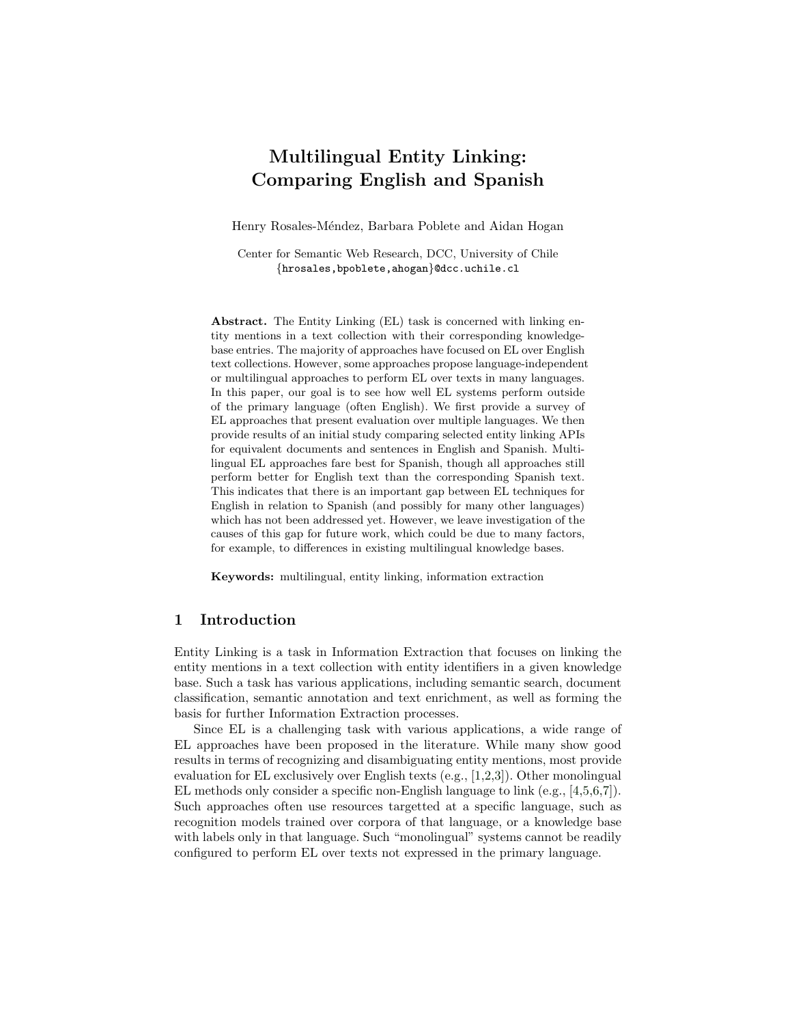# Multilingual Entity Linking: Comparing English and Spanish

Henry Rosales-Méndez, Barbara Poblete and Aidan Hogan

Center for Semantic Web Research, DCC, University of Chile {hrosales,bpoblete,ahogan}@dcc.uchile.cl

Abstract. The Entity Linking (EL) task is concerned with linking entity mentions in a text collection with their corresponding knowledgebase entries. The majority of approaches have focused on EL over English text collections. However, some approaches propose language-independent or multilingual approaches to perform EL over texts in many languages. In this paper, our goal is to see how well EL systems perform outside of the primary language (often English). We first provide a survey of EL approaches that present evaluation over multiple languages. We then provide results of an initial study comparing selected entity linking APIs for equivalent documents and sentences in English and Spanish. Multilingual EL approaches fare best for Spanish, though all approaches still perform better for English text than the corresponding Spanish text. This indicates that there is an important gap between EL techniques for English in relation to Spanish (and possibly for many other languages) which has not been addressed yet. However, we leave investigation of the causes of this gap for future work, which could be due to many factors, for example, to differences in existing multilingual knowledge bases.

Keywords: multilingual, entity linking, information extraction

## 1 Introduction

Entity Linking is a task in Information Extraction that focuses on linking the entity mentions in a text collection with entity identifiers in a given knowledge base. Such a task has various applications, including semantic search, document classification, semantic annotation and text enrichment, as well as forming the basis for further Information Extraction processes.

Since EL is a challenging task with various applications, a wide range of EL approaches have been proposed in the literature. While many show good results in terms of recognizing and disambiguating entity mentions, most provide evaluation for EL exclusively over English texts (e.g., [\[1,](#page-10-0)[2,](#page-10-1)[3\]](#page-10-2)). Other monolingual EL methods only consider a specific non-English language to link (e.g., [\[4,](#page-10-3)[5,](#page-10-4)[6](#page-10-5)[,7\]](#page-10-6)). Such approaches often use resources targetted at a specific language, such as recognition models trained over corpora of that language, or a knowledge base with labels only in that language. Such "monolingual" systems cannot be readily configured to perform EL over texts not expressed in the primary language.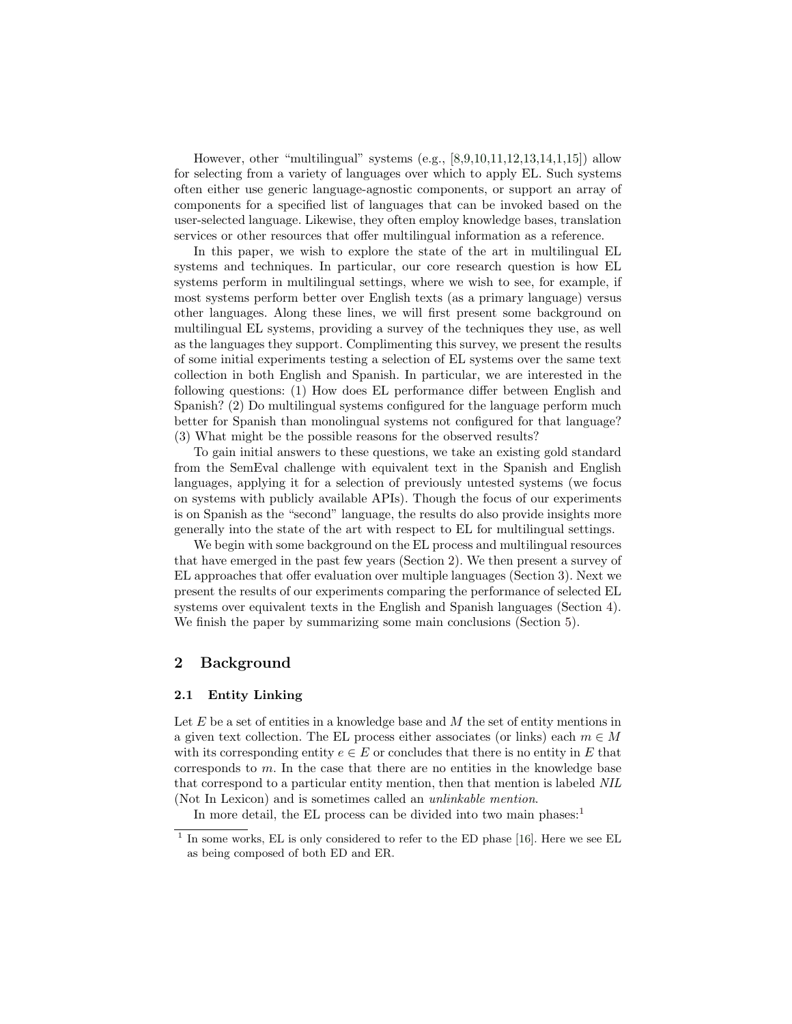However, other "multilingual" systems  $(e.g., [8,9,10,11,12,13,14,1,15])$  $(e.g., [8,9,10,11,12,13,14,1,15])$  $(e.g., [8,9,10,11,12,13,14,1,15])$  $(e.g., [8,9,10,11,12,13,14,1,15])$  $(e.g., [8,9,10,11,12,13,14,1,15])$  $(e.g., [8,9,10,11,12,13,14,1,15])$  $(e.g., [8,9,10,11,12,13,14,1,15])$  $(e.g., [8,9,10,11,12,13,14,1,15])$  $(e.g., [8,9,10,11,12,13,14,1,15])$  $(e.g., [8,9,10,11,12,13,14,1,15])$  $(e.g., [8,9,10,11,12,13,14,1,15])$  allow for selecting from a variety of languages over which to apply EL. Such systems often either use generic language-agnostic components, or support an array of components for a specified list of languages that can be invoked based on the user-selected language. Likewise, they often employ knowledge bases, translation services or other resources that offer multilingual information as a reference.

In this paper, we wish to explore the state of the art in multilingual EL systems and techniques. In particular, our core research question is how EL systems perform in multilingual settings, where we wish to see, for example, if most systems perform better over English texts (as a primary language) versus other languages. Along these lines, we will first present some background on multilingual EL systems, providing a survey of the techniques they use, as well as the languages they support. Complimenting this survey, we present the results of some initial experiments testing a selection of EL systems over the same text collection in both English and Spanish. In particular, we are interested in the following questions: (1) How does EL performance differ between English and Spanish? (2) Do multilingual systems configured for the language perform much better for Spanish than monolingual systems not configured for that language? (3) What might be the possible reasons for the observed results?

To gain initial answers to these questions, we take an existing gold standard from the SemEval challenge with equivalent text in the Spanish and English languages, applying it for a selection of previously untested systems (we focus on systems with publicly available APIs). Though the focus of our experiments is on Spanish as the "second" language, the results do also provide insights more generally into the state of the art with respect to EL for multilingual settings.

We begin with some background on the EL process and multilingual resources that have emerged in the past few years (Section [2\)](#page-1-0). We then present a survey of EL approaches that offer evaluation over multiple languages (Section [3\)](#page-3-0). Next we present the results of our experiments comparing the performance of selected EL systems over equivalent texts in the English and Spanish languages (Section [4\)](#page-5-0). We finish the paper by summarizing some main conclusions (Section [5\)](#page-9-0).

## <span id="page-1-0"></span>2 Background

## 2.1 Entity Linking

Let  $E$  be a set of entities in a knowledge base and  $M$  the set of entity mentions in a given text collection. The EL process either associates (or links) each  $m \in M$ with its corresponding entity  $e \in E$  or concludes that there is no entity in E that corresponds to m. In the case that there are no entities in the knowledge base that correspond to a particular entity mention, then that mention is labeled NIL (Not In Lexicon) and is sometimes called an unlinkable mention.

In more detail, the EL process can be divided into two main phases: $<sup>1</sup>$  $<sup>1</sup>$  $<sup>1</sup>$ </sup>

<span id="page-1-1"></span><sup>&</sup>lt;sup>1</sup> In some works, EL is only considered to refer to the ED phase [\[16\]](#page-11-3). Here we see EL as being composed of both ED and ER.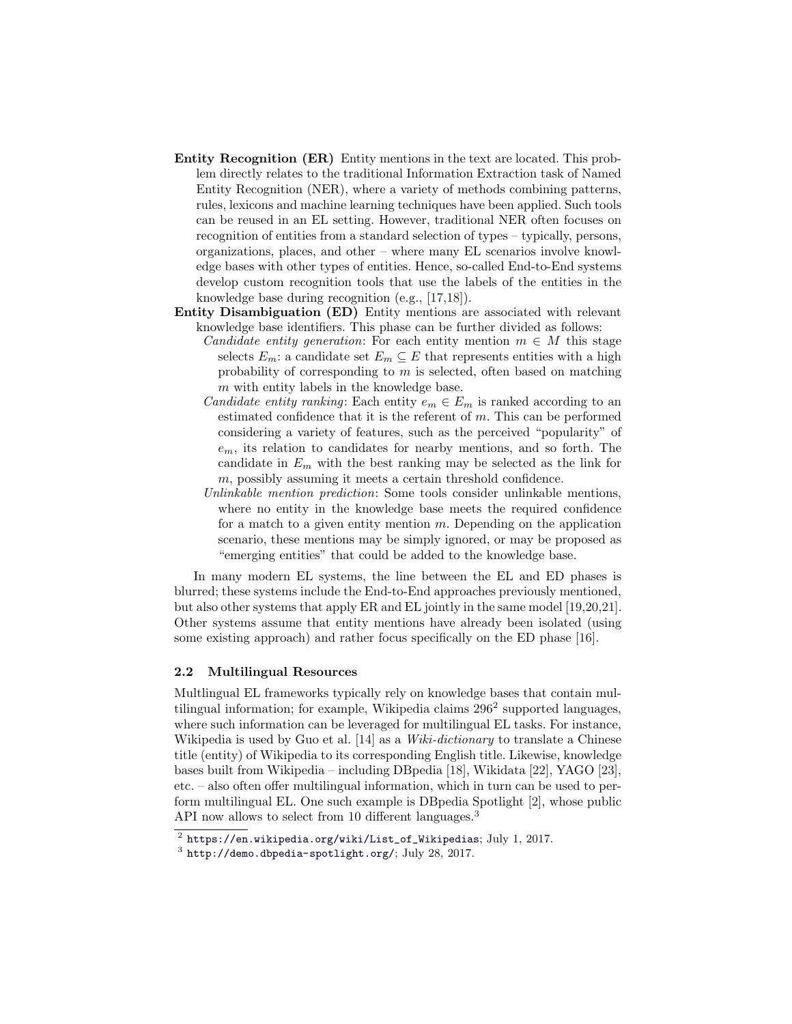- Entity Recognition (ER) Entity mentions in the text are located. This problem directly relates to the traditional Information Extraction task of Named Entity Recognition (NER), where a variety of methods combining patterns, rules, lexicons and machine learning techniques have been applied. Such tools can be reused in an EL setting. However, traditional NER often focuses on recognition of entities from a standard selection of types – typically, persons, organizations, places, and other – where many EL scenarios involve knowledge bases with other types of entities. Hence, so-called End-to-End systems develop custom recognition tools that use the labels of the entities in the knowledge base during recognition (e.g., [\[17,](#page-11-4)[18\]](#page-11-5)).
- Entity Disambiguation (ED) Entity mentions are associated with relevant knowledge base identifiers. This phase can be further divided as follows:
	- Candidate entity generation: For each entity mention  $m \in M$  this stage selects  $E_m$ : a candidate set  $E_m \subseteq E$  that represents entities with a high probability of corresponding to  $m$  is selected, often based on matching m with entity labels in the knowledge base.
	- *Candidate entity ranking:* Each entity  $e_m \in E_m$  is ranked according to an estimated confidence that it is the referent of  $m$ . This can be performed considering a variety of features, such as the perceived "popularity" of  $e<sub>m</sub>$ , its relation to candidates for nearby mentions, and so forth. The candidate in  $E_m$  with the best ranking may be selected as the link for m, possibly assuming it meets a certain threshold confidence.
	- Unlinkable mention prediction: Some tools consider unlinkable mentions, where no entity in the knowledge base meets the required confidence for a match to a given entity mention  $m$ . Depending on the application scenario, these mentions may be simply ignored, or may be proposed as "emerging entities" that could be added to the knowledge base.

In many modern EL systems, the line between the EL and ED phases is blurred; these systems include the End-to-End approaches previously mentioned, but also other systems that apply ER and EL jointly in the same model [\[19,](#page-11-6)[20,](#page-11-7)[21\]](#page-11-8). Other systems assume that entity mentions have already been isolated (using some existing approach) and rather focus specifically on the ED phase [\[16\]](#page-11-3).

#### 2.2 Multilingual Resources

Multlingual EL frameworks typically rely on knowledge bases that contain multilingual information; for example, Wikipedia claims  $296<sup>2</sup>$  $296<sup>2</sup>$  supported languages, where such information can be leveraged for multilingual EL tasks. For instance, Wikipedia is used by Guo et al. [\[14\]](#page-11-1) as a *Wiki-dictionary* to translate a Chinese title (entity) of Wikipedia to its corresponding English title. Likewise, knowledge bases built from Wikipedia – including DBpedia [\[18\]](#page-11-5), Wikidata [\[22\]](#page-11-9), YAGO [\[23\]](#page-11-10), etc. – also often offer multilingual information, which in turn can be used to perform multilingual EL. One such example is DBpedia Spotlight [\[2\]](#page-10-1), whose public API now allows to select from 10 different languages.<sup>[3](#page-2-1)</sup>

<span id="page-2-0"></span> $^2$  [https://en.wikipedia.org/wiki/List\\_of\\_Wikipedias](https://en.wikipedia.org/wiki/List_of_Wikipedias); July 1, 2017.

<span id="page-2-1"></span> $^3$  <http://demo.dbpedia-spotlight.org/>; July 28, 2017.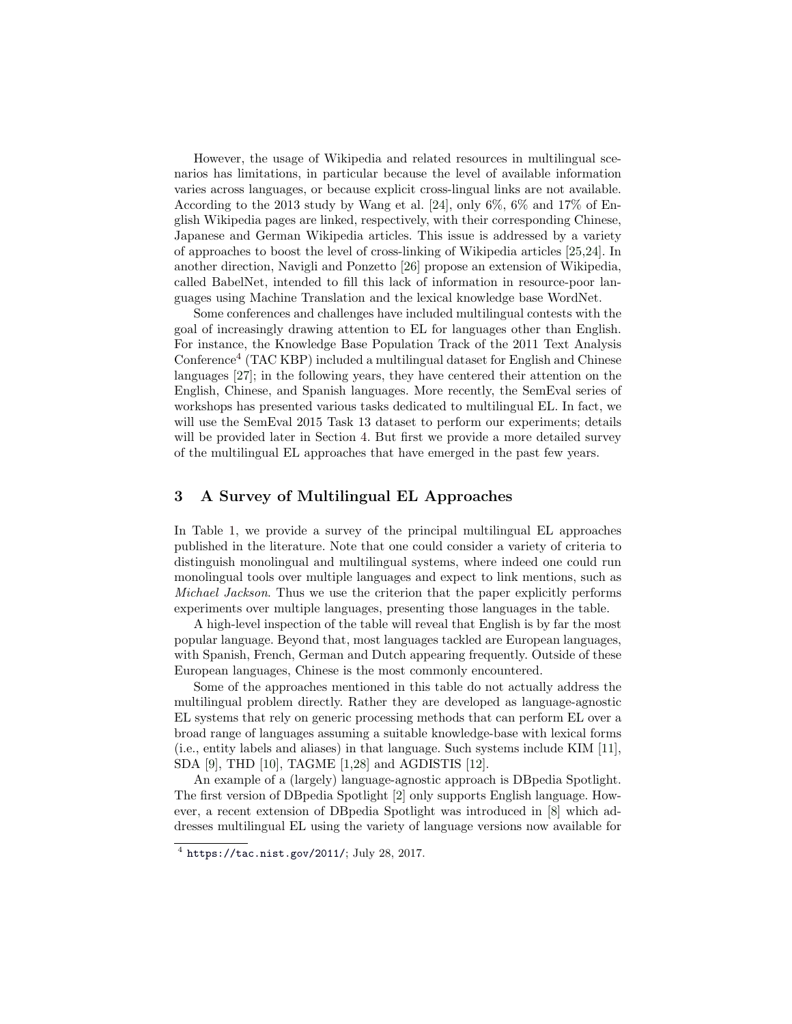However, the usage of Wikipedia and related resources in multilingual scenarios has limitations, in particular because the level of available information varies across languages, or because explicit cross-lingual links are not available. According to the 2013 study by Wang et al. [\[24\]](#page-11-11), only 6%, 6% and 17% of English Wikipedia pages are linked, respectively, with their corresponding Chinese, Japanese and German Wikipedia articles. This issue is addressed by a variety of approaches to boost the level of cross-linking of Wikipedia articles [\[25,](#page-11-12)[24\]](#page-11-11). In another direction, Navigli and Ponzetto [\[26\]](#page-11-13) propose an extension of Wikipedia, called BabelNet, intended to fill this lack of information in resource-poor languages using Machine Translation and the lexical knowledge base WordNet.

Some conferences and challenges have included multilingual contests with the goal of increasingly drawing attention to EL for languages other than English. For instance, the Knowledge Base Population Track of the 2011 Text Analysis Conference[4](#page-3-1) (TAC KBP) included a multilingual dataset for English and Chinese languages [\[27\]](#page-11-14); in the following years, they have centered their attention on the English, Chinese, and Spanish languages. More recently, the SemEval series of workshops has presented various tasks dedicated to multilingual EL. In fact, we will use the SemEval 2015 Task 13 dataset to perform our experiments; details will be provided later in Section [4.](#page-5-0) But first we provide a more detailed survey of the multilingual EL approaches that have emerged in the past few years.

# <span id="page-3-0"></span>3 A Survey of Multilingual EL Approaches

In Table [1,](#page-4-0) we provide a survey of the principal multilingual EL approaches published in the literature. Note that one could consider a variety of criteria to distinguish monolingual and multilingual systems, where indeed one could run monolingual tools over multiple languages and expect to link mentions, such as Michael Jackson. Thus we use the criterion that the paper explicitly performs experiments over multiple languages, presenting those languages in the table.

A high-level inspection of the table will reveal that English is by far the most popular language. Beyond that, most languages tackled are European languages, with Spanish, French, German and Dutch appearing frequently. Outside of these European languages, Chinese is the most commonly encountered.

Some of the approaches mentioned in this table do not actually address the multilingual problem directly. Rather they are developed as language-agnostic EL systems that rely on generic processing methods that can perform EL over a broad range of languages assuming a suitable knowledge-base with lexical forms (i.e., entity labels and aliases) in that language. Such systems include KIM [\[11\]](#page-10-10), SDA [\[9\]](#page-10-8), THD [\[10\]](#page-10-9), TAGME [\[1,](#page-10-0)[28\]](#page-11-15) and AGDISTIS [\[12\]](#page-10-11).

An example of a (largely) language-agnostic approach is DBpedia Spotlight. The first version of DBpedia Spotlight [\[2\]](#page-10-1) only supports English language. However, a recent extension of DBpedia Spotlight was introduced in [\[8\]](#page-10-7) which addresses multilingual EL using the variety of language versions now available for

<span id="page-3-1"></span> $^4$  <https://tac.nist.gov/2011/>; July 28, 2017.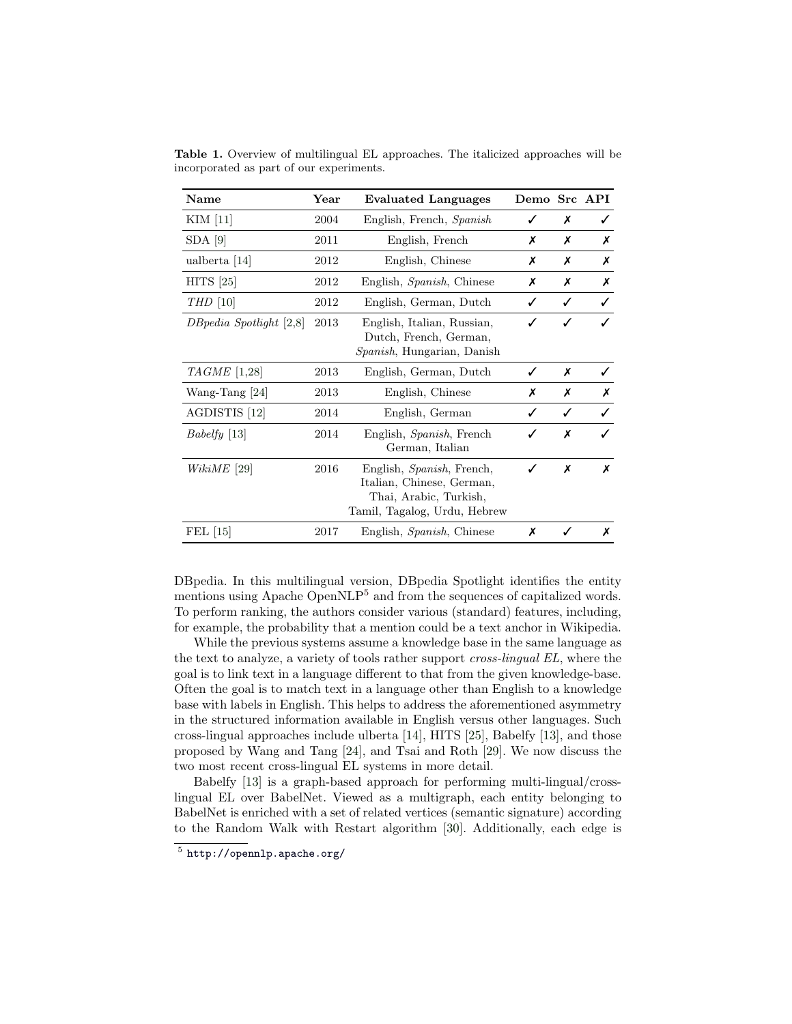| Name                        | Year | <b>Evaluated Languages</b>                                                                                       | Demo Src API |   |   |
|-----------------------------|------|------------------------------------------------------------------------------------------------------------------|--------------|---|---|
| KIM [11]                    | 2004 | English, French, Spanish                                                                                         | ✓            | Х | ✓ |
| $SDA$ [9]                   | 2011 | English, French                                                                                                  | х            | Х | Х |
| ualberta $[14]$             | 2012 | English, Chinese                                                                                                 | х            | Х | Х |
| $HITS$ [25]                 | 2012 | English, <i>Spanish</i> , Chinese                                                                                | х            | Х | Х |
| $THD$ [10]                  | 2012 | English, German, Dutch                                                                                           | ✓            | ✓ | ✓ |
| $DBpedia$ Spotlight $[2,8]$ | 2013 | English, Italian, Russian,<br>Dutch, French, German,<br>Spanish, Hungarian, Danish                               |              |   |   |
| $TAGME$ [1,28]              | 2013 | English, German, Dutch                                                                                           | ✓            | Х | ✓ |
| Wang-Tang $[24]$            | 2013 | English, Chinese                                                                                                 | х            | Х | Х |
| AGDISTIS <sup>[12]</sup>    | 2014 | English, German                                                                                                  |              | ✓ |   |
| $Babelfy$ [13]              | 2014 | English, Spanish, French<br>German, Italian                                                                      |              | X |   |
| $WikiME$ [29]               | 2016 | English, Spanish, French,<br>Italian, Chinese, German,<br>Thai, Arabic, Turkish,<br>Tamil, Tagalog, Urdu, Hebrew | ✓            | X | Х |
| FEL [15]                    | 2017 | English, Spanish, Chinese                                                                                        | x            |   | Х |

<span id="page-4-0"></span>Table 1. Overview of multilingual EL approaches. The italicized approaches will be incorporated as part of our experiments.

DBpedia. In this multilingual version, DBpedia Spotlight identifies the entity mentions using Apache OpenNLP<sup>[5](#page-4-1)</sup> and from the sequences of capitalized words. To perform ranking, the authors consider various (standard) features, including, for example, the probability that a mention could be a text anchor in Wikipedia.

While the previous systems assume a knowledge base in the same language as the text to analyze, a variety of tools rather support cross-lingual EL, where the goal is to link text in a language different to that from the given knowledge-base. Often the goal is to match text in a language other than English to a knowledge base with labels in English. This helps to address the aforementioned asymmetry in the structured information available in English versus other languages. Such cross-lingual approaches include ulberta [\[14\]](#page-11-1), HITS [\[25\]](#page-11-12), Babelfy [\[13\]](#page-11-0), and those proposed by Wang and Tang [\[24\]](#page-11-11), and Tsai and Roth [\[29\]](#page-11-16). We now discuss the two most recent cross-lingual EL systems in more detail.

Babelfy [\[13\]](#page-11-0) is a graph-based approach for performing multi-lingual/crosslingual EL over BabelNet. Viewed as a multigraph, each entity belonging to BabelNet is enriched with a set of related vertices (semantic signature) according to the Random Walk with Restart algorithm [\[30\]](#page-11-17). Additionally, each edge is

<span id="page-4-1"></span> $^5$  <http://opennlp.apache.org/>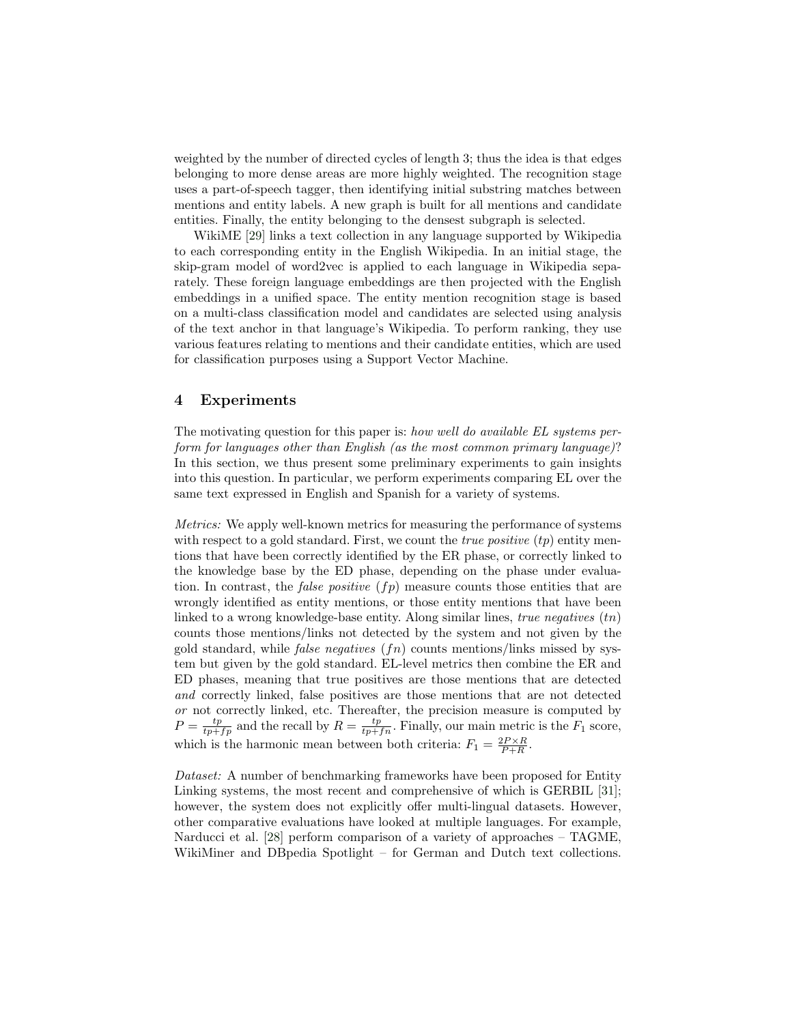weighted by the number of directed cycles of length 3; thus the idea is that edges belonging to more dense areas are more highly weighted. The recognition stage uses a part-of-speech tagger, then identifying initial substring matches between mentions and entity labels. A new graph is built for all mentions and candidate entities. Finally, the entity belonging to the densest subgraph is selected.

WikiME [\[29\]](#page-11-16) links a text collection in any language supported by Wikipedia to each corresponding entity in the English Wikipedia. In an initial stage, the skip-gram model of word2vec is applied to each language in Wikipedia separately. These foreign language embeddings are then projected with the English embeddings in a unified space. The entity mention recognition stage is based on a multi-class classification model and candidates are selected using analysis of the text anchor in that language's Wikipedia. To perform ranking, they use various features relating to mentions and their candidate entities, which are used for classification purposes using a Support Vector Machine.

# <span id="page-5-0"></span>4 Experiments

The motivating question for this paper is: how well do available EL systems perform for languages other than English (as the most common primary language)? In this section, we thus present some preliminary experiments to gain insights into this question. In particular, we perform experiments comparing EL over the same text expressed in English and Spanish for a variety of systems.

Metrics: We apply well-known metrics for measuring the performance of systems with respect to a gold standard. First, we count the *true positive*  $(tp)$  entity mentions that have been correctly identified by the ER phase, or correctly linked to the knowledge base by the ED phase, depending on the phase under evaluation. In contrast, the *false positive*  $(f_p)$  measure counts those entities that are wrongly identified as entity mentions, or those entity mentions that have been linked to a wrong knowledge-base entity. Along similar lines, true negatives  $(tn)$ counts those mentions/links not detected by the system and not given by the gold standard, while *false negatives*  $(f_n)$  counts mentions/links missed by system but given by the gold standard. EL-level metrics then combine the ER and ED phases, meaning that true positives are those mentions that are detected and correctly linked, false positives are those mentions that are not detected or not correctly linked, etc. Thereafter, the precision measure is computed by  $P = \frac{tp}{tp+fp}$  and the recall by  $R = \frac{tp}{tp+fn}$ . Finally, our main metric is the  $F_1$  score, which is the harmonic mean between both criteria:  $F_1 = \frac{2P \times R}{P + R}$ .

Dataset: A number of benchmarking frameworks have been proposed for Entity Linking systems, the most recent and comprehensive of which is GERBIL [\[31\]](#page-11-18); however, the system does not explicitly offer multi-lingual datasets. However, other comparative evaluations have looked at multiple languages. For example, Narducci et al. [\[28\]](#page-11-15) perform comparison of a variety of approaches – TAGME, WikiMiner and DBpedia Spotlight – for German and Dutch text collections.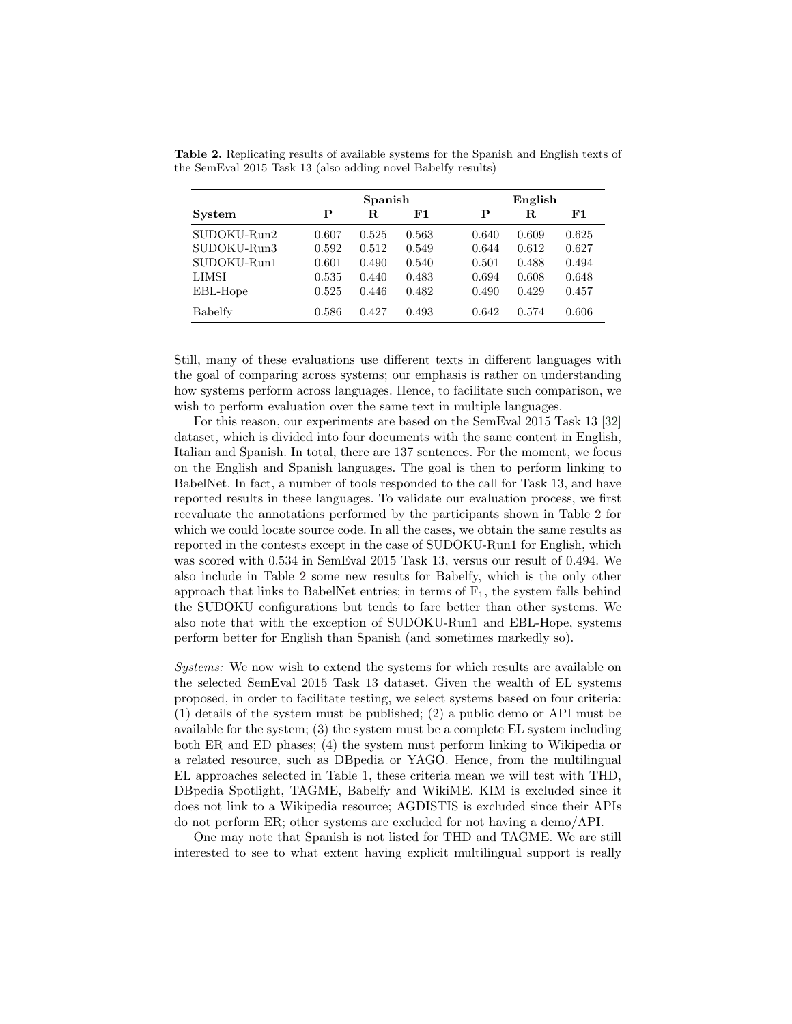|               |       | Spanish |       |       | English |       |  |  |
|---------------|-------|---------|-------|-------|---------|-------|--|--|
| <b>System</b> | P     | R.      | F1    | Р     | R.      | F1    |  |  |
| SUDOKU-Run2   | 0.607 | 0.525   | 0.563 | 0.640 | 0.609   | 0.625 |  |  |
| SUDOKU-Run3   | 0.592 | 0.512   | 0.549 | 0.644 | 0.612   | 0.627 |  |  |
| SUDOKU-Run1   | 0.601 | 0.490   | 0.540 | 0.501 | 0.488   | 0.494 |  |  |
| <b>LIMSI</b>  | 0.535 | 0.440   | 0.483 | 0.694 | 0.608   | 0.648 |  |  |
| EBL-Hope      | 0.525 | 0.446   | 0.482 | 0.490 | 0.429   | 0.457 |  |  |
| Babelfy       | 0.586 | 0.427   | 0.493 | 0.642 | 0.574   | 0.606 |  |  |

<span id="page-6-0"></span>Table 2. Replicating results of available systems for the Spanish and English texts of the SemEval 2015 Task 13 (also adding novel Babelfy results)

Still, many of these evaluations use different texts in different languages with the goal of comparing across systems; our emphasis is rather on understanding how systems perform across languages. Hence, to facilitate such comparison, we wish to perform evaluation over the same text in multiple languages.

For this reason, our experiments are based on the SemEval 2015 Task 13 [\[32\]](#page-11-19) dataset, which is divided into four documents with the same content in English, Italian and Spanish. In total, there are 137 sentences. For the moment, we focus on the English and Spanish languages. The goal is then to perform linking to BabelNet. In fact, a number of tools responded to the call for Task 13, and have reported results in these languages. To validate our evaluation process, we first reevaluate the annotations performed by the participants shown in Table [2](#page-6-0) for which we could locate source code. In all the cases, we obtain the same results as reported in the contests except in the case of SUDOKU-Run1 for English, which was scored with 0.534 in SemEval 2015 Task 13, versus our result of 0.494. We also include in Table [2](#page-6-0) some new results for Babelfy, which is the only other approach that links to BabelNet entries; in terms of  $F_1$ , the system falls behind the SUDOKU configurations but tends to fare better than other systems. We also note that with the exception of SUDOKU-Run1 and EBL-Hope, systems perform better for English than Spanish (and sometimes markedly so).

Systems: We now wish to extend the systems for which results are available on the selected SemEval 2015 Task 13 dataset. Given the wealth of EL systems proposed, in order to facilitate testing, we select systems based on four criteria: (1) details of the system must be published; (2) a public demo or API must be available for the system; (3) the system must be a complete EL system including both ER and ED phases; (4) the system must perform linking to Wikipedia or a related resource, such as DBpedia or YAGO. Hence, from the multilingual EL approaches selected in Table [1,](#page-4-0) these criteria mean we will test with THD, DBpedia Spotlight, TAGME, Babelfy and WikiME. KIM is excluded since it does not link to a Wikipedia resource; AGDISTIS is excluded since their APIs do not perform ER; other systems are excluded for not having a demo/API.

One may note that Spanish is not listed for THD and TAGME. We are still interested to see to what extent having explicit multilingual support is really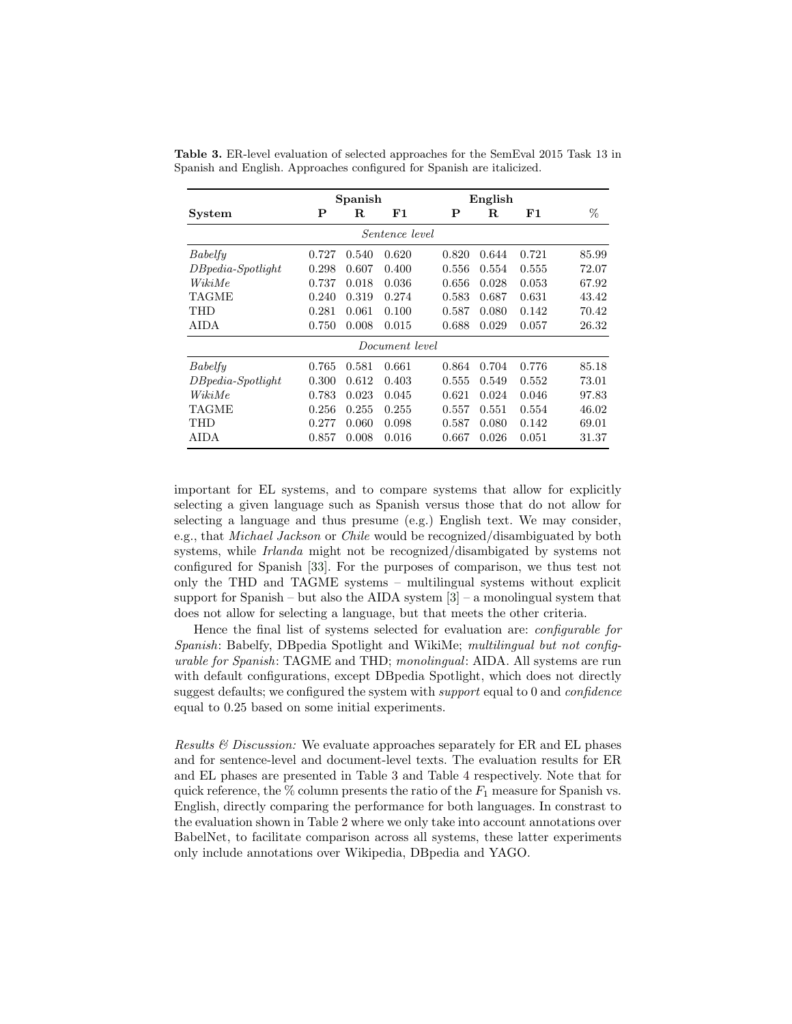|                       | Spanish |             |       | English |            |            |       |  |  |
|-----------------------|---------|-------------|-------|---------|------------|------------|-------|--|--|
| System                | P       | $\mathbf R$ | F1    | P       | $_{\rm R}$ | ${\bf F1}$ | %     |  |  |
| <i>Sentence level</i> |         |             |       |         |            |            |       |  |  |
| Babelfy               | 0.727   | 0.540       | 0.620 | 0.820   | 0.644      | 0.721      | 85.99 |  |  |
| $DB pedia-Spotlight$  | 0.298   | 0.607       | 0.400 | 0.556   | 0.554      | 0.555      | 72.07 |  |  |
| WikiMe                | 0.737   | 0.018       | 0.036 | 0.656   | 0.028      | 0.053      | 67.92 |  |  |
| <b>TAGME</b>          | 0.240   | 0.319       | 0.274 | 0.583   | 0.687      | 0.631      | 43.42 |  |  |
| <b>THD</b>            | 0.281   | 0.061       | 0.100 | 0.587   | 0.080      | 0.142      | 70.42 |  |  |
| AIDA                  | 0.750   | 0.008       | 0.015 | 0.688   | 0.029      | 0.057      | 26.32 |  |  |
| Document level        |         |             |       |         |            |            |       |  |  |
| Babelfy               | 0.765   | 0.581       | 0.661 | 0.864   | 0.704      | 0.776      | 85.18 |  |  |
| $DB pedia-Spotlight$  | 0.300   | 0.612       | 0.403 | 0.555   | 0.549      | 0.552      | 73.01 |  |  |
| WikiMe                | 0.783   | 0.023       | 0.045 | 0.621   | 0.024      | 0.046      | 97.83 |  |  |
| TAGME                 | 0.256   | 0.255       | 0.255 | 0.557   | 0.551      | 0.554      | 46.02 |  |  |
| <b>THD</b>            | 0.277   | 0.060       | 0.098 | 0.587   | 0.080      | 0.142      | 69.01 |  |  |
| AIDA                  | 0.857   | 0.008       | 0.016 | 0.667   | 0.026      | 0.051      | 31.37 |  |  |

<span id="page-7-0"></span>Table 3. ER-level evaluation of selected approaches for the SemEval 2015 Task 13 in Spanish and English. Approaches configured for Spanish are italicized.

important for EL systems, and to compare systems that allow for explicitly selecting a given language such as Spanish versus those that do not allow for selecting a language and thus presume (e.g.) English text. We may consider, e.g., that Michael Jackson or Chile would be recognized/disambiguated by both systems, while *Irlanda* might not be recognized/disambigated by systems not configured for Spanish [\[33\]](#page-11-20). For the purposes of comparison, we thus test not only the THD and TAGME systems – multilingual systems without explicit support for Spanish – but also the AIDA system  $[3]$  – a monolingual system that does not allow for selecting a language, but that meets the other criteria.

Hence the final list of systems selected for evaluation are: configurable for Spanish: Babelfy, DBpedia Spotlight and WikiMe; multilingual but not configurable for Spanish: TAGME and THD; monolingual: AIDA. All systems are run with default configurations, except DBpedia Spotlight, which does not directly suggest defaults; we configured the system with *support* equal to 0 and *confidence* equal to 0.25 based on some initial experiments.

Results  $\mathcal{B}$  Discussion: We evaluate approaches separately for ER and EL phases and for sentence-level and document-level texts. The evaluation results for ER and EL phases are presented in Table [3](#page-7-0) and Table [4](#page-8-0) respectively. Note that for quick reference, the  $\%$  column presents the ratio of the  $F_1$  measure for Spanish vs. English, directly comparing the performance for both languages. In constrast to the evaluation shown in Table [2](#page-6-0) where we only take into account annotations over BabelNet, to facilitate comparison across all systems, these latter experiments only include annotations over Wikipedia, DBpedia and YAGO.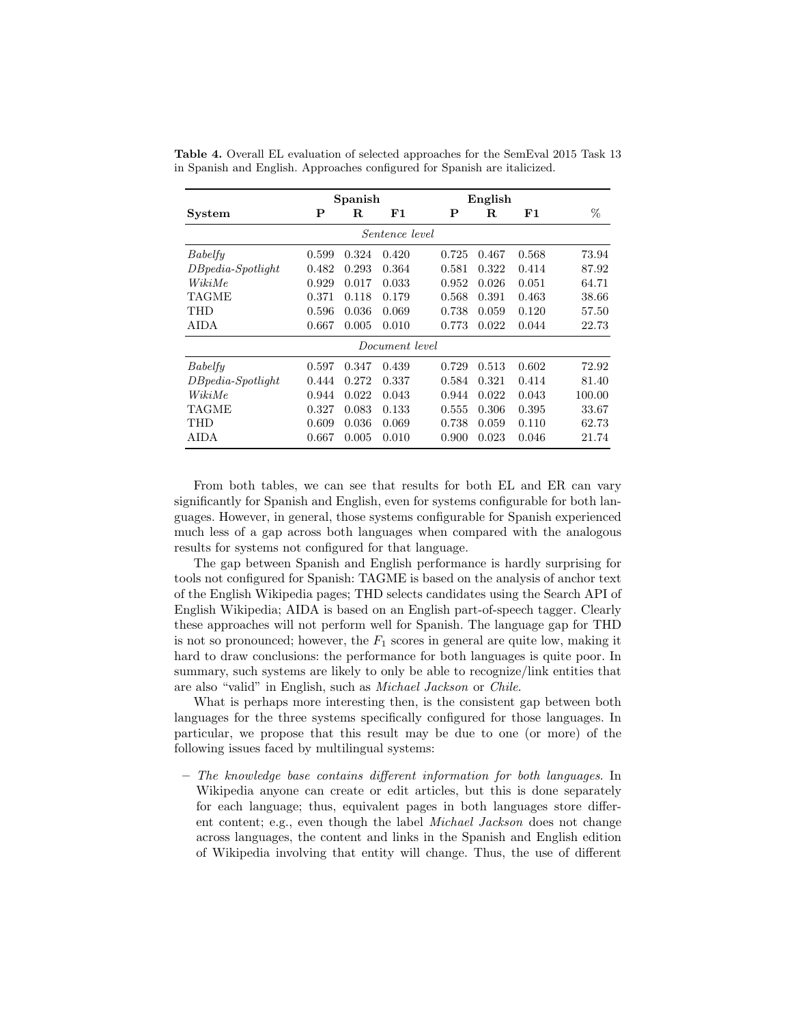|                       | Spanish |            |            | English     |             |            |        |  |  |
|-----------------------|---------|------------|------------|-------------|-------------|------------|--------|--|--|
| System                | Р       | $_{\rm R}$ | ${\bf F1}$ | $\mathbf P$ | $\mathbf R$ | ${\bf F1}$ | %      |  |  |
| <i>Sentence level</i> |         |            |            |             |             |            |        |  |  |
| Babelfy               | 0.599   | 0.324      | 0.420      | 0.725       | 0.467       | 0.568      | 73.94  |  |  |
| $DB pedia-Spotlight$  | 0.482   | 0.293      | 0.364      | 0.581       | 0.322       | 0.414      | 87.92  |  |  |
| WikiMe                | 0.929   | 0.017      | 0.033      | 0.952       | 0.026       | 0.051      | 64.71  |  |  |
| <b>TAGME</b>          | 0.371   | 0.118      | 0.179      | 0.568       | 0.391       | 0.463      | 38.66  |  |  |
| <b>THD</b>            | 0.596   | 0.036      | 0.069      | 0.738       | 0.059       | 0.120      | 57.50  |  |  |
| AIDA                  | 0.667   | 0.005      | 0.010      | 0.773       | 0.022       | 0.044      | 22.73  |  |  |
| Document level        |         |            |            |             |             |            |        |  |  |
| Babelfy               | 0.597   | 0.347      | 0.439      | 0.729       | 0.513       | 0.602      | 72.92  |  |  |
| $DB pedia-Spotlight$  | 0.444   | 0.272      | 0.337      | 0.584       | 0.321       | 0.414      | 81.40  |  |  |
| WikiMe                | 0.944   | 0.022      | 0.043      | 0.944       | 0.022       | 0.043      | 100.00 |  |  |
| <b>TAGME</b>          | 0.327   | 0.083      | 0.133      | 0.555       | 0.306       | 0.395      | 33.67  |  |  |
| <b>THD</b>            | 0.609   | 0.036      | 0.069      | 0.738       | 0.059       | 0.110      | 62.73  |  |  |
| AIDA                  | 0.667   | 0.005      | 0.010      | 0.900       | 0.023       | 0.046      | 21.74  |  |  |

<span id="page-8-0"></span>Table 4. Overall EL evaluation of selected approaches for the SemEval 2015 Task 13 in Spanish and English. Approaches configured for Spanish are italicized.

From both tables, we can see that results for both EL and ER can vary significantly for Spanish and English, even for systems configurable for both languages. However, in general, those systems configurable for Spanish experienced much less of a gap across both languages when compared with the analogous results for systems not configured for that language.

The gap between Spanish and English performance is hardly surprising for tools not configured for Spanish: TAGME is based on the analysis of anchor text of the English Wikipedia pages; THD selects candidates using the Search API of English Wikipedia; AIDA is based on an English part-of-speech tagger. Clearly these approaches will not perform well for Spanish. The language gap for THD is not so pronounced; however, the  $F_1$  scores in general are quite low, making it hard to draw conclusions: the performance for both languages is quite poor. In summary, such systems are likely to only be able to recognize/link entities that are also "valid" in English, such as Michael Jackson or Chile.

What is perhaps more interesting then, is the consistent gap between both languages for the three systems specifically configured for those languages. In particular, we propose that this result may be due to one (or more) of the following issues faced by multilingual systems:

– The knowledge base contains different information for both languages. In Wikipedia anyone can create or edit articles, but this is done separately for each language; thus, equivalent pages in both languages store different content; e.g., even though the label Michael Jackson does not change across languages, the content and links in the Spanish and English edition of Wikipedia involving that entity will change. Thus, the use of different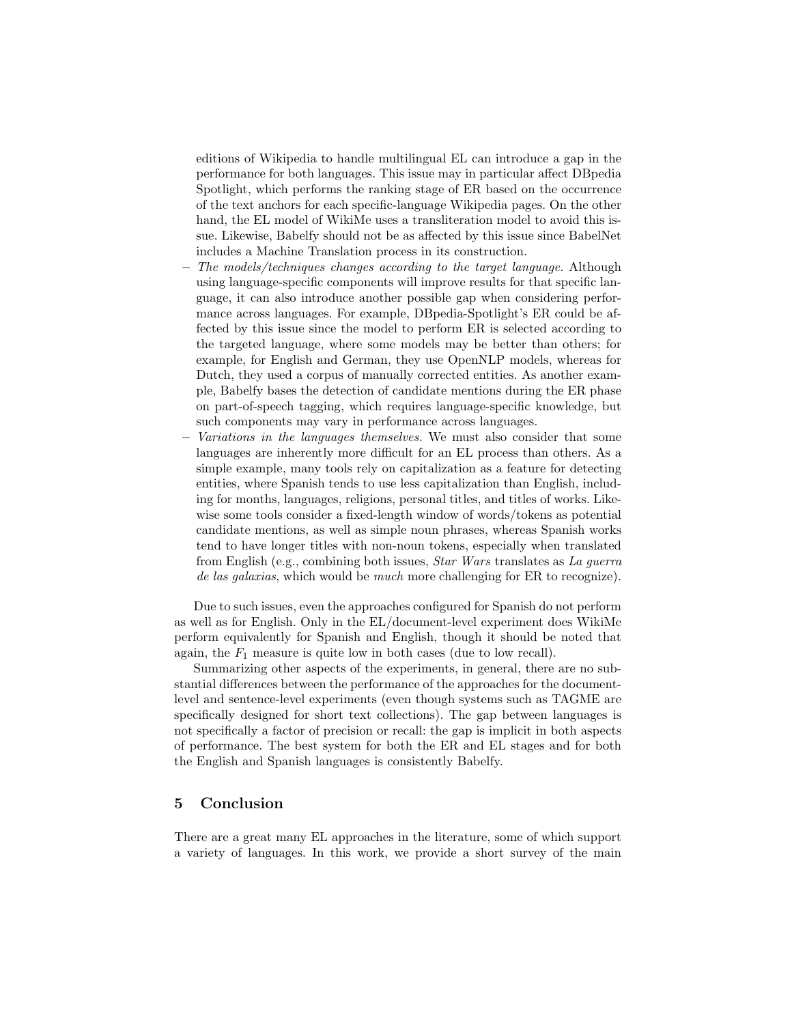editions of Wikipedia to handle multilingual EL can introduce a gap in the performance for both languages. This issue may in particular affect DBpedia Spotlight, which performs the ranking stage of ER based on the occurrence of the text anchors for each specific-language Wikipedia pages. On the other hand, the EL model of WikiMe uses a transliteration model to avoid this issue. Likewise, Babelfy should not be as affected by this issue since BabelNet includes a Machine Translation process in its construction.

- The models/techniques changes according to the target language. Although using language-specific components will improve results for that specific language, it can also introduce another possible gap when considering performance across languages. For example, DBpedia-Spotlight's ER could be affected by this issue since the model to perform ER is selected according to the targeted language, where some models may be better than others; for example, for English and German, they use OpenNLP models, whereas for Dutch, they used a corpus of manually corrected entities. As another example, Babelfy bases the detection of candidate mentions during the ER phase on part-of-speech tagging, which requires language-specific knowledge, but such components may vary in performance across languages.
- Variations in the languages themselves. We must also consider that some languages are inherently more difficult for an EL process than others. As a simple example, many tools rely on capitalization as a feature for detecting entities, where Spanish tends to use less capitalization than English, including for months, languages, religions, personal titles, and titles of works. Likewise some tools consider a fixed-length window of words/tokens as potential candidate mentions, as well as simple noun phrases, whereas Spanish works tend to have longer titles with non-noun tokens, especially when translated from English (e.g., combining both issues, Star Wars translates as La guerra de las galaxias, which would be *much* more challenging for ER to recognize).

Due to such issues, even the approaches configured for Spanish do not perform as well as for English. Only in the EL/document-level experiment does WikiMe perform equivalently for Spanish and English, though it should be noted that again, the  $F_1$  measure is quite low in both cases (due to low recall).

Summarizing other aspects of the experiments, in general, there are no substantial differences between the performance of the approaches for the documentlevel and sentence-level experiments (even though systems such as TAGME are specifically designed for short text collections). The gap between languages is not specifically a factor of precision or recall: the gap is implicit in both aspects of performance. The best system for both the ER and EL stages and for both the English and Spanish languages is consistently Babelfy.

# <span id="page-9-0"></span>5 Conclusion

There are a great many EL approaches in the literature, some of which support a variety of languages. In this work, we provide a short survey of the main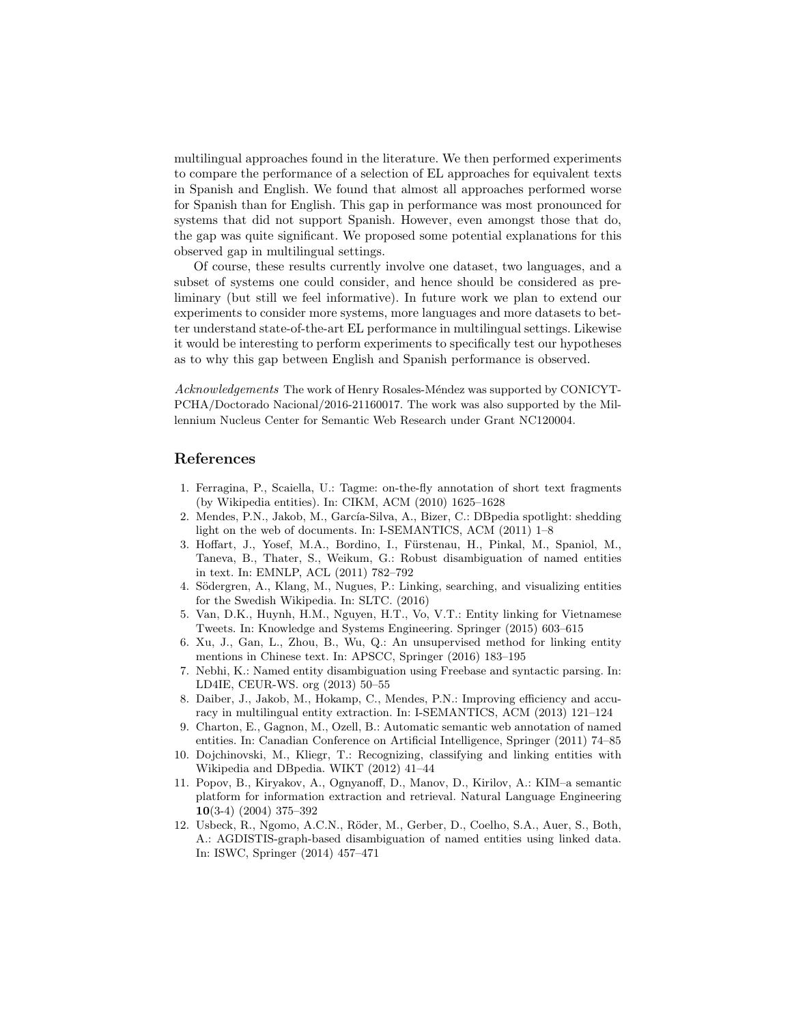multilingual approaches found in the literature. We then performed experiments to compare the performance of a selection of EL approaches for equivalent texts in Spanish and English. We found that almost all approaches performed worse for Spanish than for English. This gap in performance was most pronounced for systems that did not support Spanish. However, even amongst those that do, the gap was quite significant. We proposed some potential explanations for this observed gap in multilingual settings.

Of course, these results currently involve one dataset, two languages, and a subset of systems one could consider, and hence should be considered as preliminary (but still we feel informative). In future work we plan to extend our experiments to consider more systems, more languages and more datasets to better understand state-of-the-art EL performance in multilingual settings. Likewise it would be interesting to perform experiments to specifically test our hypotheses as to why this gap between English and Spanish performance is observed.

Acknowledgements The work of Henry Rosales-Méndez was supported by CONICYT-PCHA/Doctorado Nacional/2016-21160017. The work was also supported by the Millennium Nucleus Center for Semantic Web Research under Grant NC120004.

## References

- <span id="page-10-0"></span>1. Ferragina, P., Scaiella, U.: Tagme: on-the-fly annotation of short text fragments (by Wikipedia entities). In: CIKM, ACM (2010) 1625–1628
- <span id="page-10-1"></span>2. Mendes, P.N., Jakob, M., García-Silva, A., Bizer, C.: DBpedia spotlight: shedding light on the web of documents. In: I-SEMANTICS, ACM (2011) 1–8
- <span id="page-10-2"></span>3. Hoffart, J., Yosef, M.A., Bordino, I., Fürstenau, H., Pinkal, M., Spaniol, M., Taneva, B., Thater, S., Weikum, G.: Robust disambiguation of named entities in text. In: EMNLP, ACL (2011) 782–792
- <span id="page-10-3"></span>4. Södergren, A., Klang, M., Nugues, P.: Linking, searching, and visualizing entities for the Swedish Wikipedia. In: SLTC. (2016)
- <span id="page-10-4"></span>5. Van, D.K., Huynh, H.M., Nguyen, H.T., Vo, V.T.: Entity linking for Vietnamese Tweets. In: Knowledge and Systems Engineering. Springer (2015) 603–615
- <span id="page-10-5"></span>6. Xu, J., Gan, L., Zhou, B., Wu, Q.: An unsupervised method for linking entity mentions in Chinese text. In: APSCC, Springer (2016) 183–195
- <span id="page-10-6"></span>7. Nebhi, K.: Named entity disambiguation using Freebase and syntactic parsing. In: LD4IE, CEUR-WS. org (2013) 50–55
- <span id="page-10-7"></span>8. Daiber, J., Jakob, M., Hokamp, C., Mendes, P.N.: Improving efficiency and accuracy in multilingual entity extraction. In: I-SEMANTICS, ACM (2013) 121–124
- <span id="page-10-8"></span>9. Charton, E., Gagnon, M., Ozell, B.: Automatic semantic web annotation of named entities. In: Canadian Conference on Artificial Intelligence, Springer (2011) 74–85
- <span id="page-10-9"></span>10. Dojchinovski, M., Kliegr, T.: Recognizing, classifying and linking entities with Wikipedia and DBpedia. WIKT (2012) 41–44
- <span id="page-10-10"></span>11. Popov, B., Kiryakov, A., Ognyanoff, D., Manov, D., Kirilov, A.: KIM–a semantic platform for information extraction and retrieval. Natural Language Engineering 10(3-4) (2004) 375–392
- <span id="page-10-11"></span>12. Usbeck, R., Ngomo, A.C.N., Röder, M., Gerber, D., Coelho, S.A., Auer, S., Both, A.: AGDISTIS-graph-based disambiguation of named entities using linked data. In: ISWC, Springer (2014) 457–471